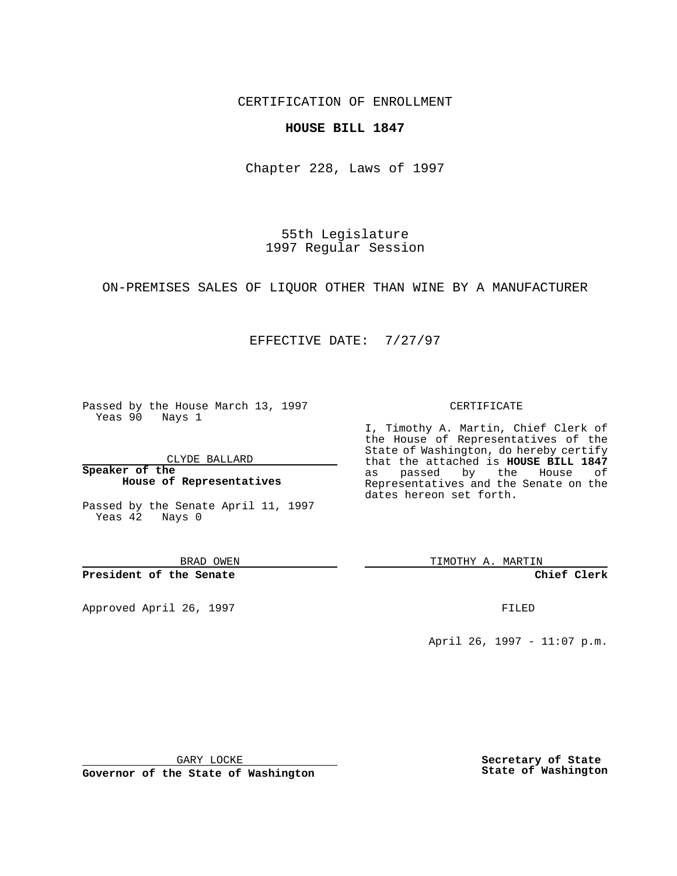CERTIFICATION OF ENROLLMENT

**HOUSE BILL 1847**

Chapter 228, Laws of 1997

55th Legislature 1997 Regular Session

ON-PREMISES SALES OF LIQUOR OTHER THAN WINE BY A MANUFACTURER

## EFFECTIVE DATE: 7/27/97

Passed by the House March 13, 1997 Yeas 90 Nays 1

CLYDE BALLARD

**Speaker of the House of Representatives**

Passed by the Senate April 11, 1997 Yeas 42 Nays 0

BRAD OWEN

**President of the Senate**

Approved April 26, 1997 **FILED** 

## CERTIFICATE

I, Timothy A. Martin, Chief Clerk of the House of Representatives of the State of Washington, do hereby certify that the attached is **HOUSE BILL 1847** as passed by the House of Representatives and the Senate on the dates hereon set forth.

TIMOTHY A. MARTIN

**Chief Clerk**

April 26, 1997 - 11:07 p.m.

GARY LOCKE

**Governor of the State of Washington**

**Secretary of State State of Washington**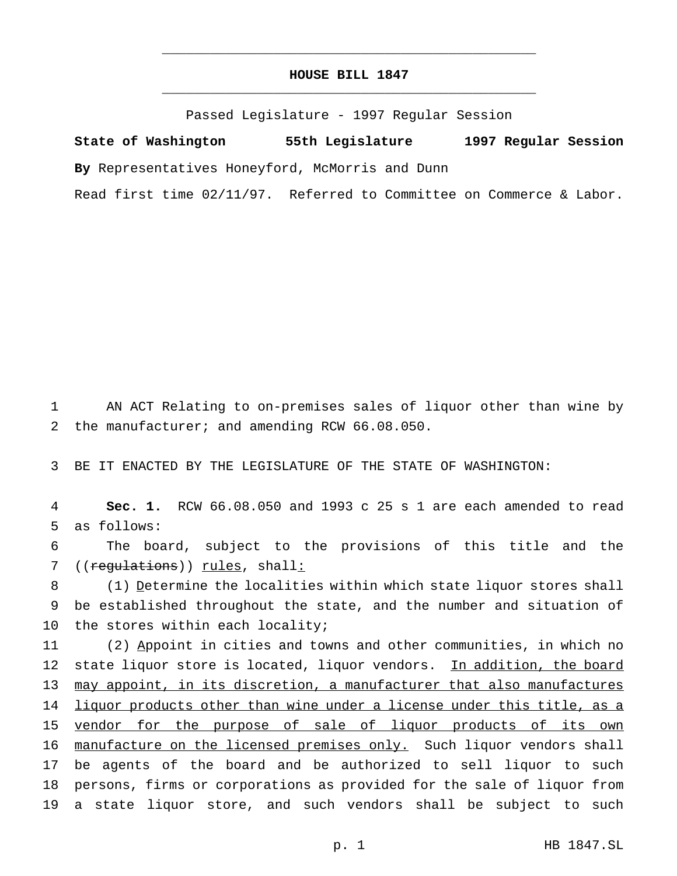## **HOUSE BILL 1847** \_\_\_\_\_\_\_\_\_\_\_\_\_\_\_\_\_\_\_\_\_\_\_\_\_\_\_\_\_\_\_\_\_\_\_\_\_\_\_\_\_\_\_\_\_\_\_

\_\_\_\_\_\_\_\_\_\_\_\_\_\_\_\_\_\_\_\_\_\_\_\_\_\_\_\_\_\_\_\_\_\_\_\_\_\_\_\_\_\_\_\_\_\_\_

Passed Legislature - 1997 Regular Session

**State of Washington 55th Legislature 1997 Regular Session By** Representatives Honeyford, McMorris and Dunn

Read first time 02/11/97. Referred to Committee on Commerce & Labor.

1 AN ACT Relating to on-premises sales of liquor other than wine by 2 the manufacturer; and amending RCW 66.08.050.

3 BE IT ENACTED BY THE LEGISLATURE OF THE STATE OF WASHINGTON:

4 **Sec. 1.** RCW 66.08.050 and 1993 c 25 s 1 are each amended to read 5 as follows:

6 The board, subject to the provisions of this title and the 7 ((regulations)) rules, shall:

8 (1) Determine the localities within which state liquor stores shall 9 be established throughout the state, and the number and situation of 10 the stores within each locality;

11 (2) Appoint in cities and towns and other communities, in which no 12 state liquor store is located, liquor vendors. In addition, the board 13 may appoint, in its discretion, a manufacturer that also manufactures 14 liquor products other than wine under a license under this title, as a 15 vendor for the purpose of sale of liquor products of its own 16 manufacture on the licensed premises only. Such liquor vendors shall 17 be agents of the board and be authorized to sell liquor to such 18 persons, firms or corporations as provided for the sale of liquor from 19 a state liquor store, and such vendors shall be subject to such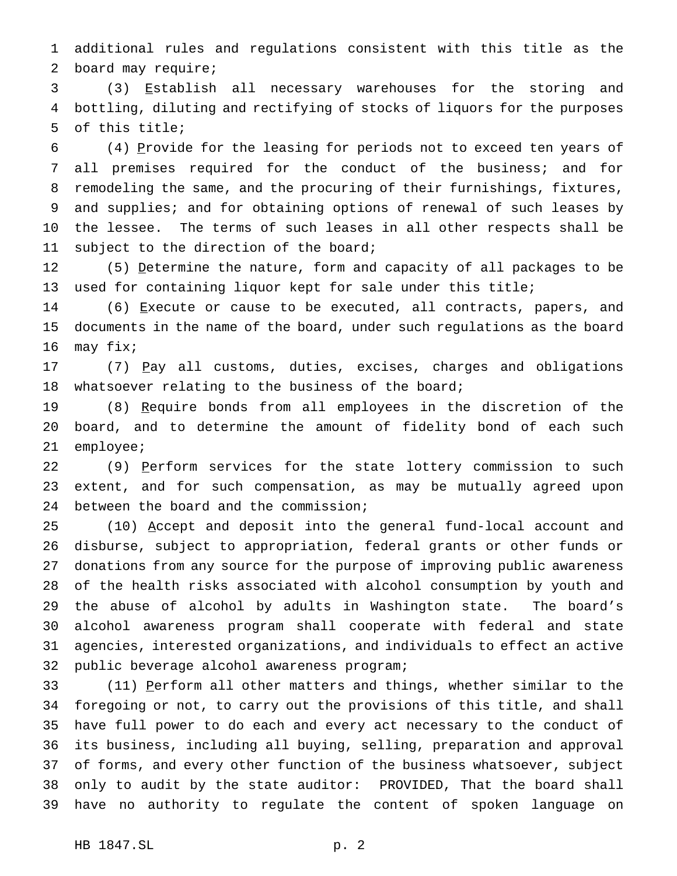additional rules and regulations consistent with this title as the board may require;

 (3) Establish all necessary warehouses for the storing and bottling, diluting and rectifying of stocks of liquors for the purposes of this title;

 (4) Provide for the leasing for periods not to exceed ten years of all premises required for the conduct of the business; and for remodeling the same, and the procuring of their furnishings, fixtures, and supplies; and for obtaining options of renewal of such leases by the lessee. The terms of such leases in all other respects shall be 11 subject to the direction of the board;

12 (5) Determine the nature, form and capacity of all packages to be used for containing liquor kept for sale under this title;

14 (6) Execute or cause to be executed, all contracts, papers, and documents in the name of the board, under such regulations as the board may fix;

17 (7) Pay all customs, duties, excises, charges and obligations whatsoever relating to the business of the board;

19 (8) Require bonds from all employees in the discretion of the board, and to determine the amount of fidelity bond of each such employee;

22 (9) Perform services for the state lottery commission to such extent, and for such compensation, as may be mutually agreed upon between the board and the commission;

25 (10) Accept and deposit into the general fund-local account and disburse, subject to appropriation, federal grants or other funds or donations from any source for the purpose of improving public awareness of the health risks associated with alcohol consumption by youth and the abuse of alcohol by adults in Washington state. The board's alcohol awareness program shall cooperate with federal and state agencies, interested organizations, and individuals to effect an active public beverage alcohol awareness program;

33 (11) Perform all other matters and things, whether similar to the foregoing or not, to carry out the provisions of this title, and shall have full power to do each and every act necessary to the conduct of its business, including all buying, selling, preparation and approval of forms, and every other function of the business whatsoever, subject only to audit by the state auditor: PROVIDED, That the board shall have no authority to regulate the content of spoken language on